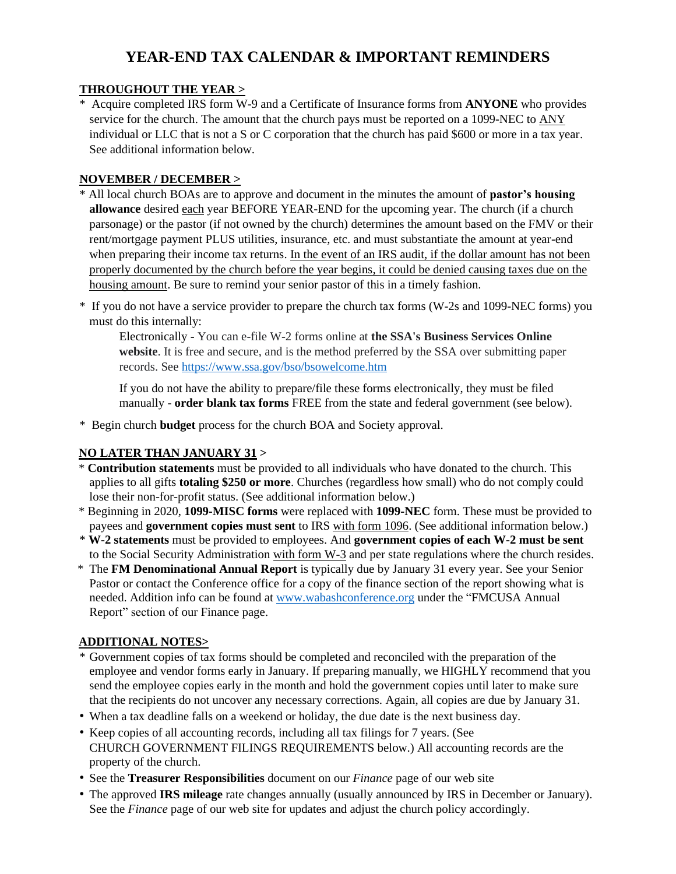# **YEAR-END TAX CALENDAR & IMPORTANT REMINDERS**

#### **THROUGHOUT THE YEAR >**

\* Acquire completed IRS form W-9 and a Certificate of Insurance forms from **ANYONE** who provides service for the church. The amount that the church pays must be reported on a 1099-NEC to ANY individual or LLC that is not a S or C corporation that the church has paid \$600 or more in a tax year. See additional information below.

#### **NOVEMBER / DECEMBER >**

- \* All local church BOAs are to approve and document in the minutes the amount of **pastor's housing allowance** desired each year BEFORE YEAR-END for the upcoming year. The church (if a church parsonage) or the pastor (if not owned by the church) determines the amount based on the FMV or their rent/mortgage payment PLUS utilities, insurance, etc. and must substantiate the amount at year-end when preparing their income tax returns. In the event of an IRS audit, if the dollar amount has not been properly documented by the church before the year begins, it could be denied causing taxes due on the housing amount. Be sure to remind your senior pastor of this in a timely fashion.
- \*If you do not have a service provider to prepare the church tax forms (W-2s and 1099-NEC forms) you must do this internally:

Electronically - You can e-file W-2 forms online at **the SSA's Business Services Online website**. It is free and secure, and is the method preferred by the SSA over submitting paper records. See<https://www.ssa.gov/bso/bsowelcome.htm>

If you do not have the ability to prepare/file these forms electronically, they must be filed manually - **order blank tax forms** FREE from the state and federal government (see below).

\*Begin church **budget** process for the church BOA and Society approval.

#### **NO LATER THAN JANUARY 31 >**

- \* **Contribution statements** must be provided to all individuals who have donated to the church. This applies to all gifts **totaling \$250 or more**. Churches (regardless how small) who do not comply could lose their non-for-profit status. (See additional information below.)
- \* Beginning in 2020, **1099-MISC forms** were replaced with **1099-NEC** form. These must be provided to payees and **government copies must sent** to IRS with form 1096. (See additional information below.)
- \* **W-2 statements** must be provided to employees. And **government copies of each W-2 must be sent**  to the Social Security Administration with form W-3 and per state regulations where the church resides.
- \* The **FM Denominational Annual Report** is typically due by January 31 every year. See your Senior Pastor or contact the Conference office for a copy of the finance section of the report showing what is needed. Addition info can be found at [www.wabashconference.org](http://www.wabashconference.org/) under the "FMCUSA Annual Report" section of our Finance page.

#### **ADDITIONAL NOTES>**

- \* Government copies of tax forms should be completed and reconciled with the preparation of the employee and vendor forms early in January. If preparing manually, we HIGHLY recommend that you send the employee copies early in the month and hold the government copies until later to make sure that the recipients do not uncover any necessary corrections. Again, all copies are due by January 31.
- When a tax deadline falls on a weekend or holiday, the due date is the next business day.
- Keep copies of all accounting records, including all tax filings for 7 years. (See CHURCH GOVERNMENT FILINGS REQUIREMENTS below.) All accounting records are the property of the church.
- See the **Treasurer Responsibilities** document on our *Finance* page of our web site
- The approved **IRS mileage** rate changes annually (usually announced by IRS in December or January). See the *Finance* page of our web site for updates and adjust the church policy accordingly.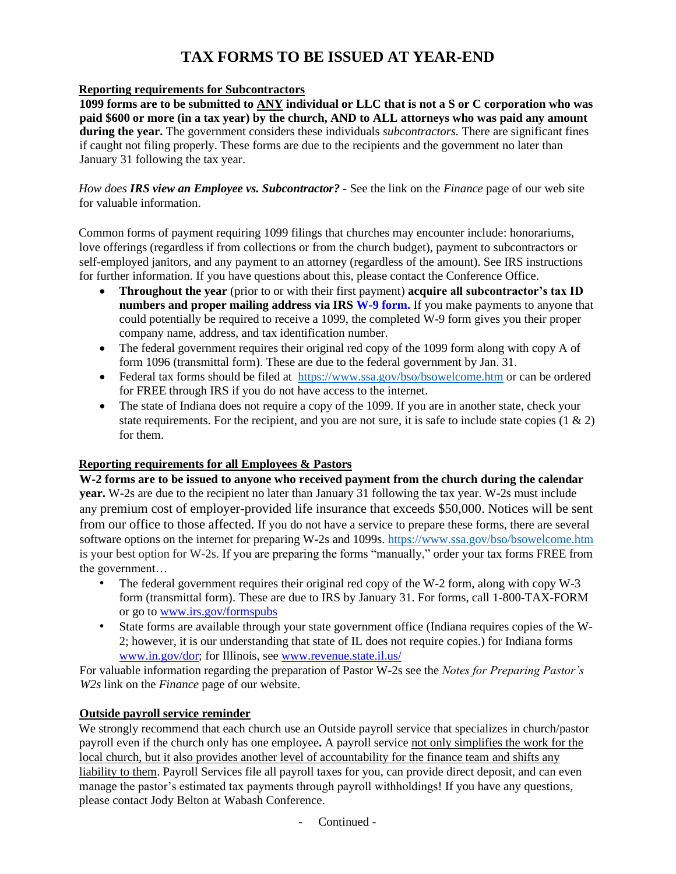# **TAX FORMS TO BE ISSUED AT YEAR-END**

#### **Reporting requirements for Subcontractors**

**1099 forms are to be submitted to ANY individual or LLC that is not a S or C corporation who was paid \$600 or more (in a tax year) by the church, AND to ALL attorneys who was paid any amount during the year.** The government considers these individuals *subcontractors.* There are significant fines if caught not filing properly. These forms are due to the recipients and the government no later than January 31 following the tax year.

*How does IRS view an Employee vs. Subcontractor? -* See the link on the *Finance* page of our web site for valuable information.

Common forms of payment requiring 1099 filings that churches may encounter include: honorariums, love offerings (regardless if from collections or from the church budget), payment to subcontractors or self-employed janitors, and any payment to an attorney (regardless of the amount). See IRS instructions for further information. If you have questions about this, please contact the Conference Office.

- **Throughout the year** (prior to or with their first payment) **acquire all subcontractor's tax ID numbers and proper mailing address via IRS W-9 form.** If you make payments to anyone that could potentially be required to receive a 1099, the completed W-9 form gives you their proper company name, address, and tax identification number.
- The federal government requires their original red copy of the 1099 form along with copy A of form 1096 (transmittal form). These are due to the federal government by Jan. 31.
- Federal tax forms should be filed at <https://www.ssa.gov/bso/bsowelcome.htm> or can be ordered for FREE through IRS if you do not have access to the internet.
- The state of Indiana does not require a copy of the 1099. If you are in another state, check your state requirements. For the recipient, and you are not sure, it is safe to include state copies  $(1 \& 2)$ for them.

#### **Reporting requirements for all Employees & Pastors**

**W-2 forms are to be issued to anyone who received payment from the church during the calendar year.** W-2s are due to the recipient no later than January 31 following the tax year. W-2s must include any premium cost of employer-provided life insurance that exceeds \$50,000. Notices will be sent from our office to those affected. If you do not have a service to prepare these forms, there are several software options on the internet for preparing W-2s and 1099s.<https://www.ssa.gov/bso/bsowelcome.htm> is your best option for W-2s. If you are preparing the forms "manually," order your tax forms FREE from the government…

- The federal government requires their original red copy of the W-2 form, along with copy W-3 form (transmittal form). These are due to IRS by January 31. For forms, call 1-800-TAX-FORM or go to www.irs.gov/formspubs
- State forms are available through your state government office (Indiana requires copies of the W-2; however, it is our understanding that state of IL does not require copies.) for Indiana forms www.in.gov/dor; for Illinois, see www.revenue.state.il.us/

For valuable information regarding the preparation of Pastor W-2s see the *Notes for Preparing Pastor's W2s* link on the *Finance* page of our website.

#### **Outside payroll service reminder**

We strongly recommend that each church use an Outside payroll service that specializes in church/pastor payroll even if the church only has one employee**.** A payroll service not only simplifies the work for the local church, but it also provides another level of accountability for the finance team and shifts any liability to them. Payroll Services file all payroll taxes for you, can provide direct deposit, and can even manage the pastor's estimated tax payments through payroll withholdings! If you have any questions, please contact Jody Belton at Wabash Conference.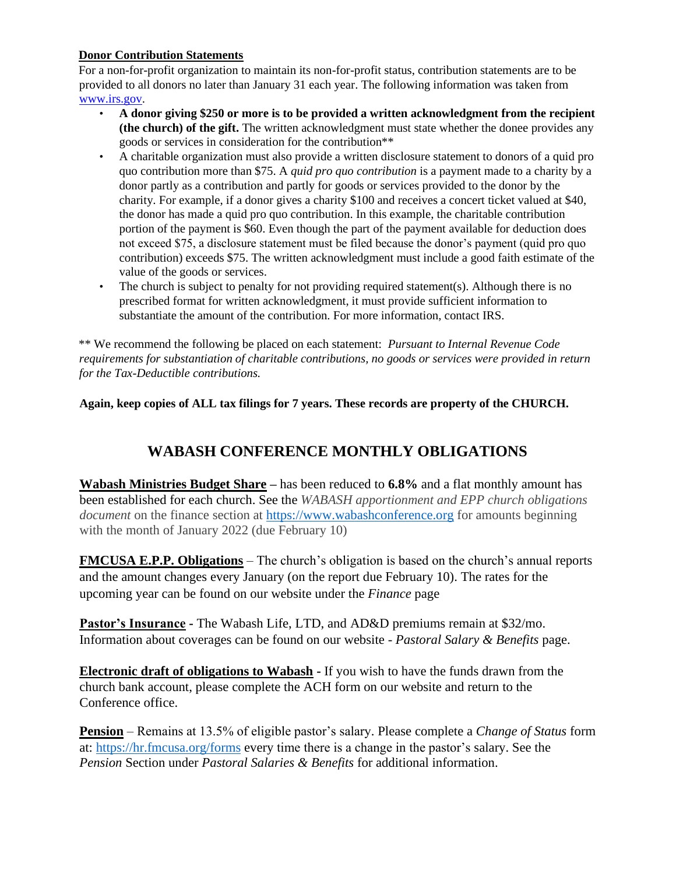#### **Donor Contribution Statements**

For a non-for-profit organization to maintain its non-for-profit status, contribution statements are to be provided to all donors no later than January 31 each year. The following information was taken from www.irs.gov.

- **A donor giving \$250 or more is to be provided a written acknowledgment from the recipient (the church) of the gift.** The written acknowledgment must state whether the donee provides any goods or services in consideration for the contribution\*\*
- A charitable organization must also provide a written disclosure statement to donors of a quid pro quo contribution more than \$75. A *quid pro quo contribution* is a payment made to a charity by a donor partly as a contribution and partly for goods or services provided to the donor by the charity. For example, if a donor gives a charity \$100 and receives a concert ticket valued at \$40, the donor has made a quid pro quo contribution. In this example, the charitable contribution portion of the payment is \$60. Even though the part of the payment available for deduction does not exceed \$75, a disclosure statement must be filed because the donor's payment (quid pro quo contribution) exceeds \$75. The written acknowledgment must include a good faith estimate of the value of the goods or services.
- The church is subject to penalty for not providing required statement(s). Although there is no prescribed format for written acknowledgment, it must provide sufficient information to substantiate the amount of the contribution. For more information, contact IRS.

\*\* We recommend the following be placed on each statement: *Pursuant to Internal Revenue Code requirements for substantiation of charitable contributions, no goods or services were provided in return for the Tax-Deductible contributions.* 

**Again, keep copies of ALL tax filings for 7 years. These records are property of the CHURCH.**

## **WABASH CONFERENCE MONTHLY OBLIGATIONS**

**Wabash Ministries Budget Share –** has been reduced to **6.8%** and a flat monthly amount has been established for each church. See the *WABASH apportionment and EPP church obligations document* on the finance section at [https://www.wabashconference.org](https://www.wabashconference.org/) for amounts beginning with the month of January 2022 (due February 10)

**FMCUSA E.P.P. Obligations** – The church's obligation is based on the church's annual reports and the amount changes every January (on the report due February 10). The rates for the upcoming year can be found on our website under the *Finance* page

**Pastor's Insurance -** The Wabash Life, LTD, and AD&D premiums remain at \$32/mo. Information about coverages can be found on our website - *Pastoral Salary & Benefits* page.

**Electronic draft of obligations to Wabash -** If you wish to have the funds drawn from the church bank account, please complete the ACH form on our website and return to the Conference office.

**Pension** – Remains at 13.5% of eligible pastor's salary. Please complete a *Change of Status* form at:<https://hr.fmcusa.org/forms> every time there is a change in the pastor's salary. See the *Pension* Section under *Pastoral Salaries & Benefits* for additional information.